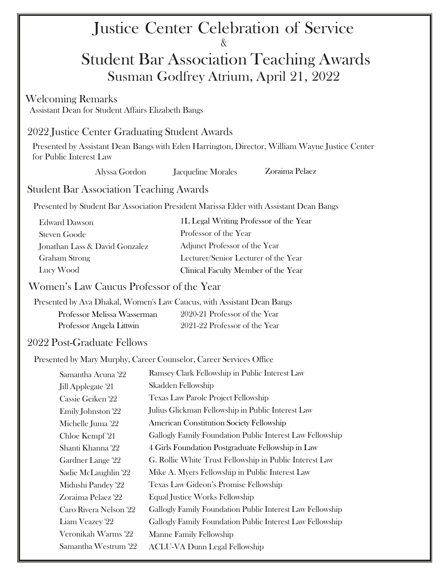# Justice Center Celebration of Service &

# Student Bar Association Teaching Awards Susman Godfrey Atrium, April 21, 2022

#### Welcoming Remarks

Assistant Dean for Student Affairs Elizabeth Bangs

## 2022 Justice Center Graduating Student Awards

Presented by Assistant Dean Bangs with Eden Harrington, Director, William Wayne Justice Center for Public Interest Law

| Alyssa Gordon | Jacqueline Morales |
|---------------|--------------------|
|---------------|--------------------|

Zoraima Pelaez

# Student Bar Association Teaching Awards

Presented by Student Bar Association President Marissa Elder with Assistant Dean Bangs

| Edward Dawson                  | 1L Legal Writing Professor of the Year |
|--------------------------------|----------------------------------------|
| Steven Goode                   | Professor of the Year                  |
| Jonathan Lass & David Gonzalez | Adjunct Professor of the Year          |
| Graham Strong                  | Lecturer/Senior Lecturer of the Year   |
| Lucy Wood                      | Clinical Faculty Member of the Year    |

### Women's Law Caucus Professor of the Year

Presented by Ava Dhakal, Women's Law Caucus, with Assistant Dean Bangs Professor Melissa Wasserman Professor Angela Littwin 2020-21 Professor of the Year 2021-22 Professor of the Year

### 2022 Post-Graduate Fellows

Presented by Mary Murphy, Career Counselor, Career Services Office

| Samantha Acuna '22     | Ramsey Clark Fellowship in Public Interest Law            |
|------------------------|-----------------------------------------------------------|
| Jill Applegate '21     | Skadden Fellowship                                        |
| Cassie Geiken '22      | <b>Texas Law Parole Project Fellowship</b>                |
| Emily Johnston '22     | Julius Glickman Fellowship in Public Interest Law         |
| Michelle Juma '22      | <b>American Constitution Society Fellowship</b>           |
| Chloe Kempf '21        | Gallogly Family Foundation Public Interest Law Fellowship |
| Shanti Khanna '22      | 4 Girls Foundation Postgraduate Fellowship in Law         |
| Gardner Lange '22      | G. Rollie White Trust Fellowship in Public Interest Law   |
| Sadie McLaughlin '22   | Mike A. Myers Fellowship in Public Interest Law           |
| Midushi Pandey '22     | Texas Law Gideon's Promise Fellowship                     |
| Zoraima Pelaez '22     | Equal Justice Works Fellowship                            |
| Caro Rivera Nelson '22 | Gallogly Family Foundation Public Interest Law Fellowship |
| Liam Veazey '22        | Gallogly Family Foundation Public Interest Law Fellowship |
| Veronikah Warms '22    | Manne Family Fellowship                                   |
| Samantha Westrum '22   | <b>ACLU-VA Dunn Legal Fellowship</b>                      |